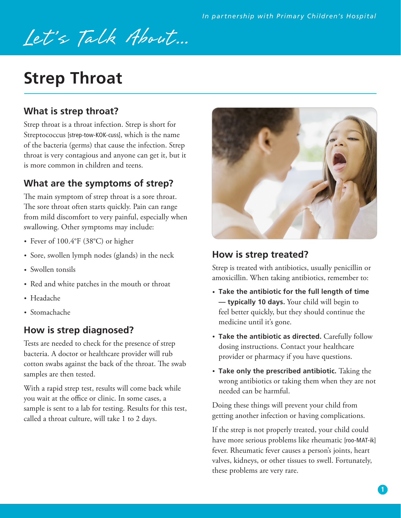# Let's Talk About...

## **Strep Throat**

### **What is strep throat?**

Strep throat is a throat infection. Strep is short for Streptococcus [strep-tow-KOK-cuss], which is the name of the bacteria (germs) that cause the infection. Strep throat is very contagious and anyone can get it, but it is more common in children and teens.

## **What are the symptoms of strep?**

The main symptom of strep throat is a sore throat. The sore throat often starts quickly. Pain can range from mild discomfort to very painful, especially when swallowing. Other symptoms may include:

- Fever of 100.4°F (38°C) or higher
- Sore, swollen lymph nodes (glands) in the neck
- Swollen tonsils
- Red and white patches in the mouth or throat
- Headache
- Stomachache

#### **How is strep diagnosed?**

Tests are needed to check for the presence of strep bacteria. A doctor or healthcare provider will rub cotton swabs against the back of the throat. The swab samples are then tested.

With a rapid strep test, results will come back while you wait at the office or clinic. In some cases, a sample is sent to a lab for testing. Results for this test, called a throat culture, will take 1 to 2 days.



#### **How is strep treated?**

Strep is treated with antibiotics, usually penicillin or amoxicillin. When taking antibiotics, remember to:

- **Take the antibiotic for the full length of time — typically 10 days.** Your child will begin to feel better quickly, but they should continue the medicine until it's gone.
- **Take the antibiotic as directed.** Carefully follow dosing instructions. Contact your healthcare provider or pharmacy if you have questions.
- **Take only the prescribed antibiotic.** Taking the wrong antibiotics or taking them when they are not needed can be harmful.

Doing these things will prevent your child from getting another infection or having complications.

If the strep is not properly treated, your child could have more serious problems like rheumatic [roo-MAT-ik] fever. Rheumatic fever causes a person's joints, heart valves, kidneys, or other tissues to swell. Fortunately, these problems are very rare.